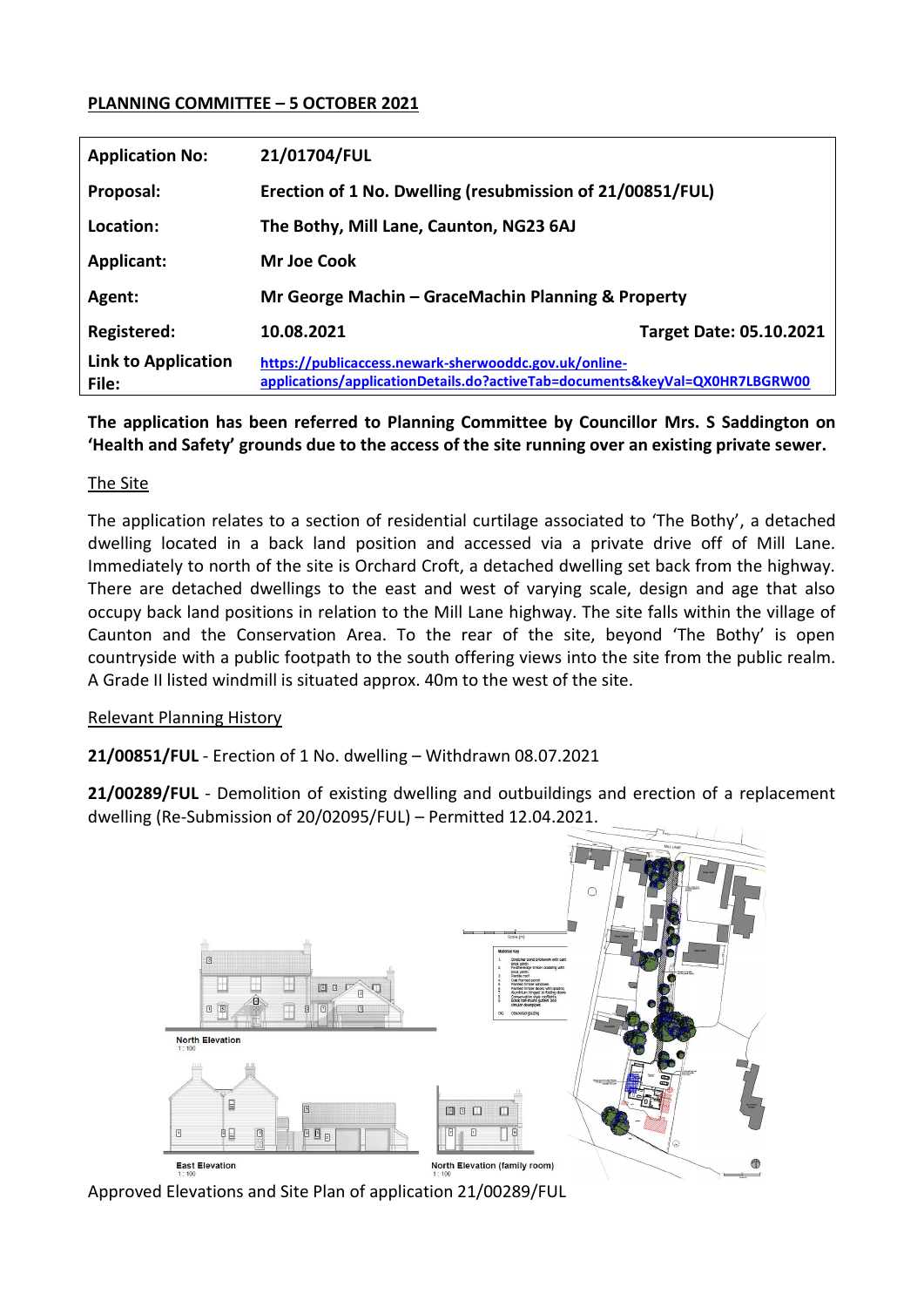## **PLANNING COMMITTEE – 5 OCTOBER 2021**

| <b>Application No:</b>              | 21/01704/FUL                                                                                                                         |                                |
|-------------------------------------|--------------------------------------------------------------------------------------------------------------------------------------|--------------------------------|
| Proposal:                           | Erection of 1 No. Dwelling (resubmission of 21/00851/FUL)                                                                            |                                |
| Location:                           | The Bothy, Mill Lane, Caunton, NG23 6AJ                                                                                              |                                |
| <b>Applicant:</b>                   | Mr Joe Cook                                                                                                                          |                                |
| Agent:                              | Mr George Machin – GraceMachin Planning & Property                                                                                   |                                |
| <b>Registered:</b>                  | 10.08.2021                                                                                                                           | <b>Target Date: 05.10.2021</b> |
| <b>Link to Application</b><br>File: | https://publicaccess.newark-sherwooddc.gov.uk/online-<br>applications/applicationDetails.do?activeTab=documents&keyVal=QX0HR7LBGRW00 |                                |

**The application has been referred to Planning Committee by Councillor Mrs. S Saddington on 'Health and Safety' grounds due to the access of the site running over an existing private sewer.** 

## The Site

The application relates to a section of residential curtilage associated to 'The Bothy', a detached dwelling located in a back land position and accessed via a private drive off of Mill Lane. Immediately to north of the site is Orchard Croft, a detached dwelling set back from the highway. There are detached dwellings to the east and west of varying scale, design and age that also occupy back land positions in relation to the Mill Lane highway. The site falls within the village of Caunton and the Conservation Area. To the rear of the site, beyond 'The Bothy' is open countryside with a public footpath to the south offering views into the site from the public realm. A Grade II listed windmill is situated approx. 40m to the west of the site.

## Relevant Planning History

**21/00851/FUL** - Erection of 1 No. dwelling – Withdrawn 08.07.2021

**21/00289/FUL** - Demolition of existing dwelling and outbuildings and erection of a replacement dwelling (Re-Submission of 20/02095/FUL) – Permitted 12.04.2021.



Approved Elevations and Site Plan of application 21/00289/FUL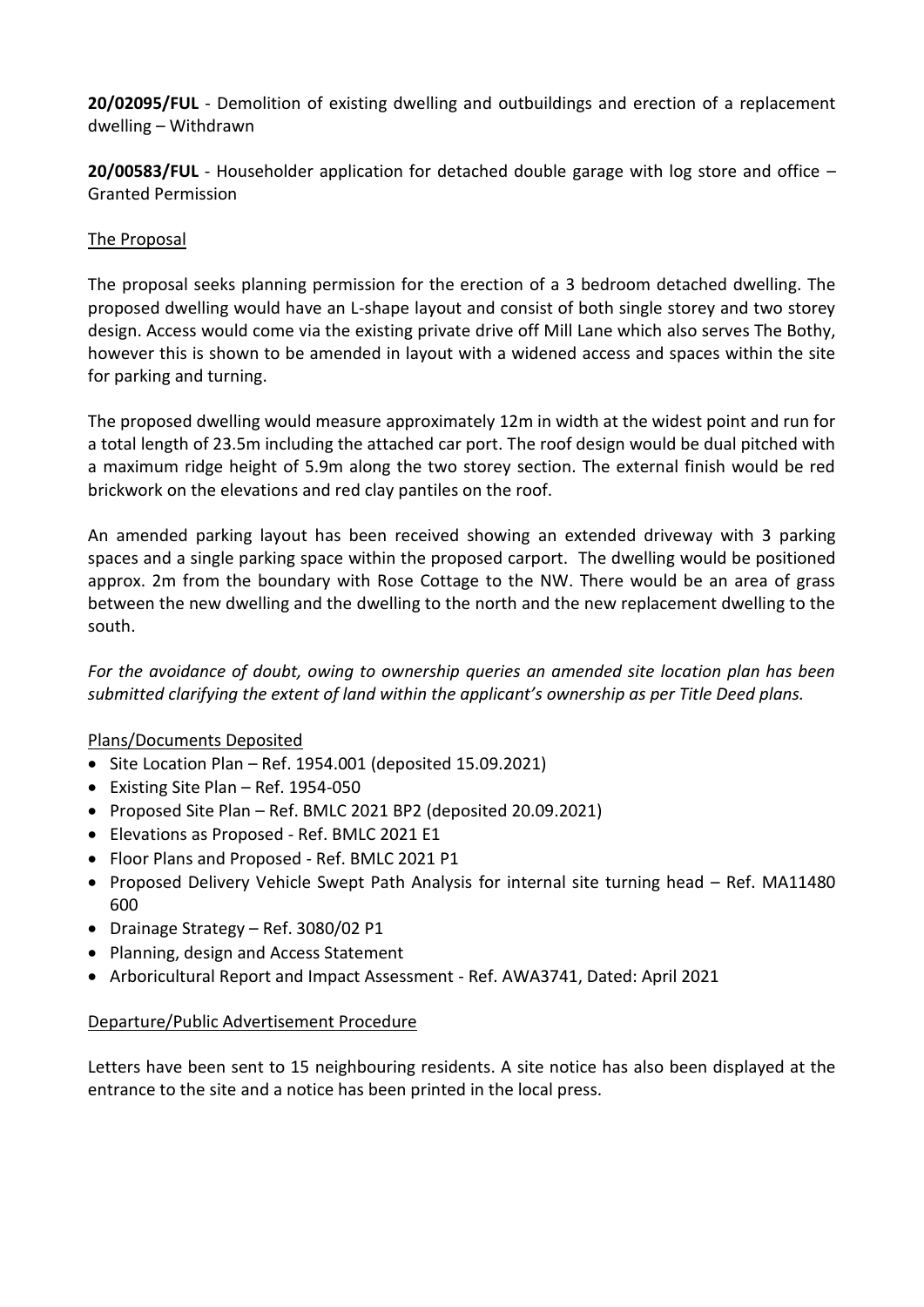**20/02095/FUL** - Demolition of existing dwelling and outbuildings and erection of a replacement dwelling – Withdrawn

**20/00583/FUL** - Householder application for detached double garage with log store and office – Granted Permission

# The Proposal

The proposal seeks planning permission for the erection of a 3 bedroom detached dwelling. The proposed dwelling would have an L-shape layout and consist of both single storey and two storey design. Access would come via the existing private drive off Mill Lane which also serves The Bothy, however this is shown to be amended in layout with a widened access and spaces within the site for parking and turning.

The proposed dwelling would measure approximately 12m in width at the widest point and run for a total length of 23.5m including the attached car port. The roof design would be dual pitched with a maximum ridge height of 5.9m along the two storey section. The external finish would be red brickwork on the elevations and red clay pantiles on the roof.

An amended parking layout has been received showing an extended driveway with 3 parking spaces and a single parking space within the proposed carport. The dwelling would be positioned approx. 2m from the boundary with Rose Cottage to the NW. There would be an area of grass between the new dwelling and the dwelling to the north and the new replacement dwelling to the south.

*For the avoidance of doubt, owing to ownership queries an amended site location plan has been submitted clarifying the extent of land within the applicant's ownership as per Title Deed plans.* 

# Plans/Documents Deposited

- $\bullet$  Site Location Plan Ref. 1954.001 (deposited 15.09.2021)
- Existing Site Plan Ref. 1954-050
- Proposed Site Plan Ref. BMLC 2021 BP2 (deposited 20.09.2021)
- Elevations as Proposed Ref. BMLC 2021 E1
- Floor Plans and Proposed Ref. BMLC 2021 P1
- Proposed Delivery Vehicle Swept Path Analysis for internal site turning head Ref. MA11480 600
- Drainage Strategy Ref. 3080/02 P1
- Planning, design and Access Statement
- Arboricultural Report and Impact Assessment Ref. AWA3741, Dated: April 2021

# Departure/Public Advertisement Procedure

Letters have been sent to 15 neighbouring residents. A site notice has also been displayed at the entrance to the site and a notice has been printed in the local press.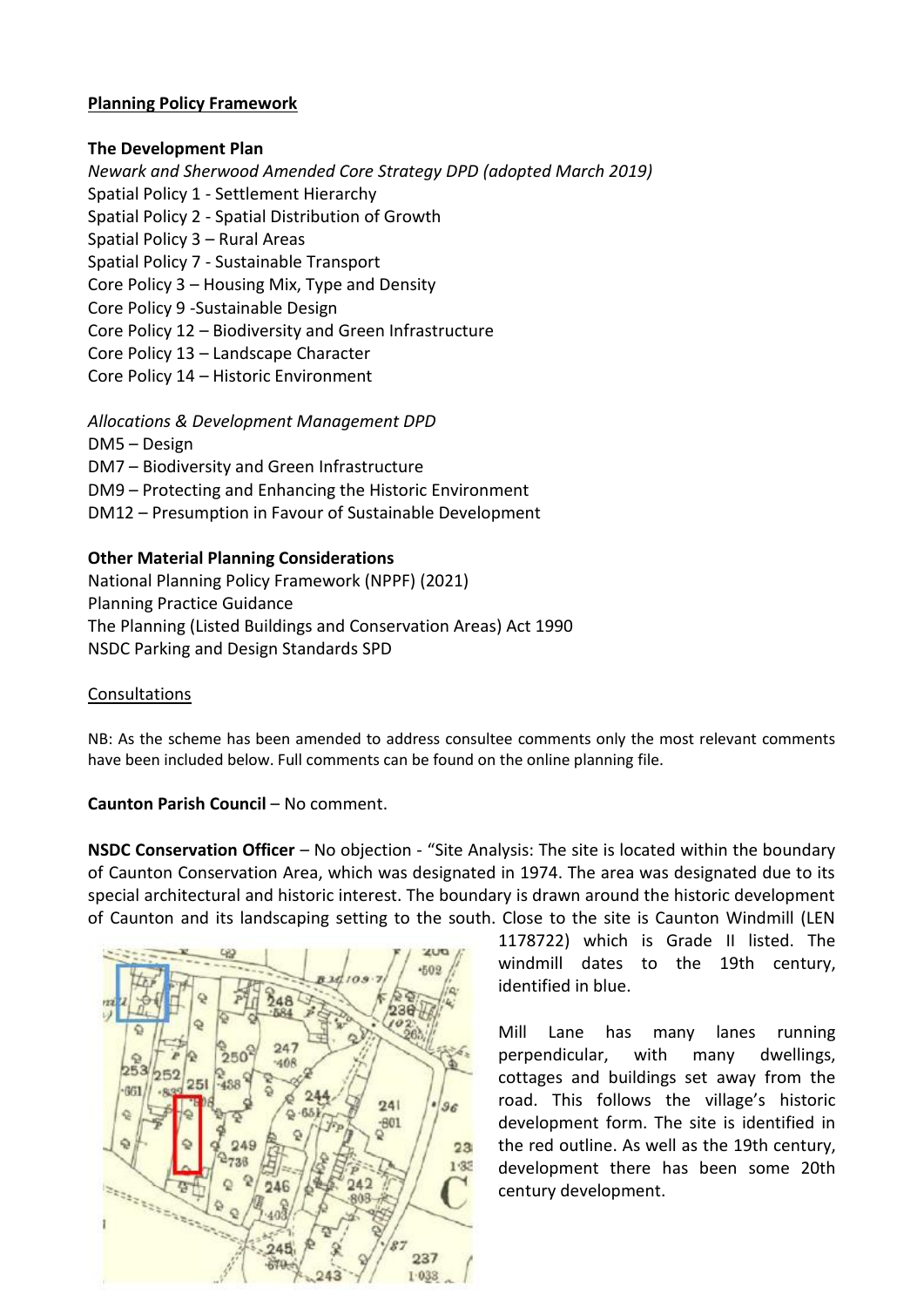## **Planning Policy Framework**

## **The Development Plan**

*Newark and Sherwood Amended Core Strategy DPD (adopted March 2019)* Spatial Policy 1 - Settlement Hierarchy Spatial Policy 2 - Spatial Distribution of Growth Spatial Policy 3 – Rural Areas Spatial Policy 7 - Sustainable Transport Core Policy 3 – Housing Mix, Type and Density Core Policy 9 -Sustainable Design Core Policy 12 – Biodiversity and Green Infrastructure Core Policy 13 – Landscape Character Core Policy 14 – Historic Environment *Allocations & Development Management DPD* DM5 – Design DM7 – Biodiversity and Green Infrastructure

- DM9 Protecting and Enhancing the Historic Environment
- DM12 Presumption in Favour of Sustainable Development

## **Other Material Planning Considerations**

National Planning Policy Framework (NPPF) (2021) Planning Practice Guidance The Planning (Listed Buildings and Conservation Areas) Act 1990 NSDC Parking and Design Standards SPD

## Consultations

NB: As the scheme has been amended to address consultee comments only the most relevant comments have been included below. Full comments can be found on the online planning file.

# **Caunton Parish Council** – No comment.

**NSDC Conservation Officer** – No objection - "Site Analysis: The site is located within the boundary of Caunton Conservation Area, which was designated in 1974. The area was designated due to its special architectural and historic interest. The boundary is drawn around the historic development of Caunton and its landscaping setting to the south. Close to the site is Caunton Windmill (LEN



1178722) which is Grade II listed. The windmill dates to the 19th century, identified in blue.

Mill Lane has many lanes running perpendicular, with many dwellings, cottages and buildings set away from the road. This follows the village's historic development form. The site is identified in the red outline. As well as the 19th century, development there has been some 20th century development.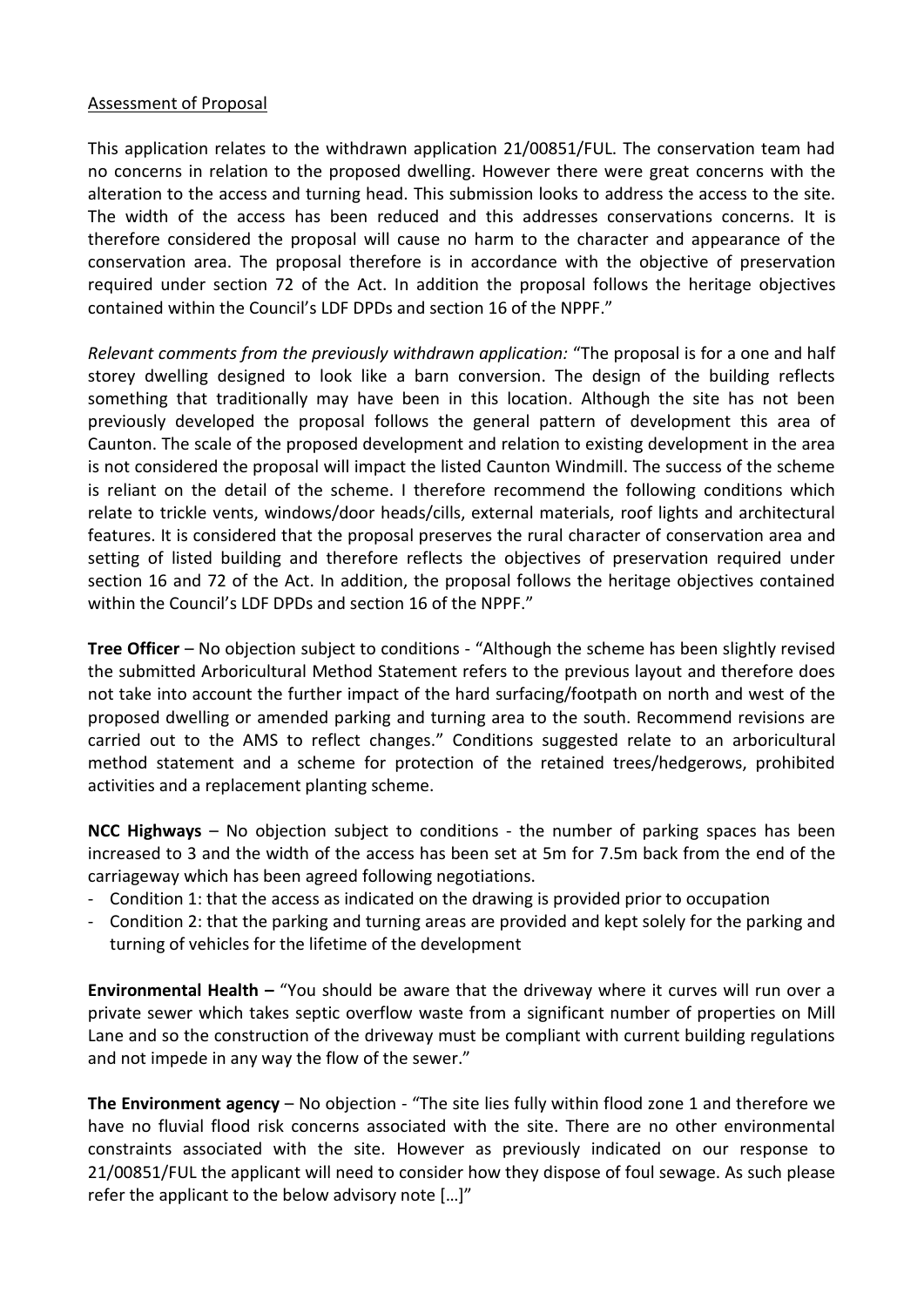## Assessment of Proposal

This application relates to the withdrawn application 21/00851/FUL. The conservation team had no concerns in relation to the proposed dwelling. However there were great concerns with the alteration to the access and turning head. This submission looks to address the access to the site. The width of the access has been reduced and this addresses conservations concerns. It is therefore considered the proposal will cause no harm to the character and appearance of the conservation area. The proposal therefore is in accordance with the objective of preservation required under section 72 of the Act. In addition the proposal follows the heritage objectives contained within the Council's LDF DPDs and section 16 of the NPPF."

*Relevant comments from the previously withdrawn application:* "The proposal is for a one and half storey dwelling designed to look like a barn conversion. The design of the building reflects something that traditionally may have been in this location. Although the site has not been previously developed the proposal follows the general pattern of development this area of Caunton. The scale of the proposed development and relation to existing development in the area is not considered the proposal will impact the listed Caunton Windmill. The success of the scheme is reliant on the detail of the scheme. I therefore recommend the following conditions which relate to trickle vents, windows/door heads/cills, external materials, roof lights and architectural features. It is considered that the proposal preserves the rural character of conservation area and setting of listed building and therefore reflects the objectives of preservation required under section 16 and 72 of the Act. In addition, the proposal follows the heritage objectives contained within the Council's LDF DPDs and section 16 of the NPPF."

**Tree Officer** – No objection subject to conditions - "Although the scheme has been slightly revised the submitted Arboricultural Method Statement refers to the previous layout and therefore does not take into account the further impact of the hard surfacing/footpath on north and west of the proposed dwelling or amended parking and turning area to the south. Recommend revisions are carried out to the AMS to reflect changes." Conditions suggested relate to an arboricultural method statement and a scheme for protection of the retained trees/hedgerows, prohibited activities and a replacement planting scheme.

**NCC Highways** – No objection subject to conditions - the number of parking spaces has been increased to 3 and the width of the access has been set at 5m for 7.5m back from the end of the carriageway which has been agreed following negotiations.

- Condition 1: that the access as indicated on the drawing is provided prior to occupation
- Condition 2: that the parking and turning areas are provided and kept solely for the parking and turning of vehicles for the lifetime of the development

**Environmental Health –** "You should be aware that the driveway where it curves will run over a private sewer which takes septic overflow waste from a significant number of properties on Mill Lane and so the construction of the driveway must be compliant with current building regulations and not impede in any way the flow of the sewer."

**The Environment agency** – No objection - "The site lies fully within flood zone 1 and therefore we have no fluvial flood risk concerns associated with the site. There are no other environmental constraints associated with the site. However as previously indicated on our response to 21/00851/FUL the applicant will need to consider how they dispose of foul sewage. As such please refer the applicant to the below advisory note […]"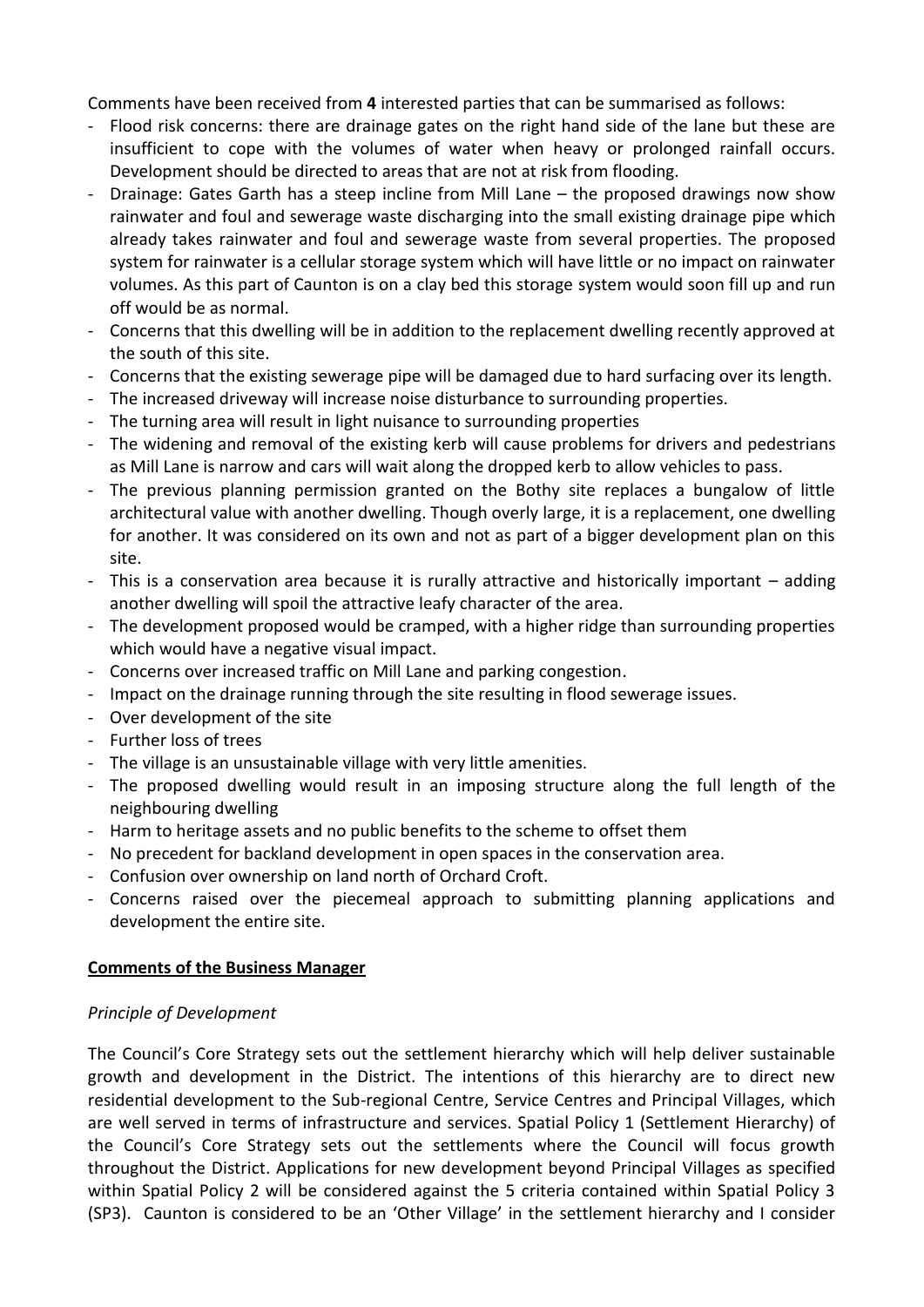Comments have been received from **4** interested parties that can be summarised as follows:

- Flood risk concerns: there are drainage gates on the right hand side of the lane but these are insufficient to cope with the volumes of water when heavy or prolonged rainfall occurs. Development should be directed to areas that are not at risk from flooding.
- Drainage: Gates Garth has a steep incline from Mill Lane the proposed drawings now show rainwater and foul and sewerage waste discharging into the small existing drainage pipe which already takes rainwater and foul and sewerage waste from several properties. The proposed system for rainwater is a cellular storage system which will have little or no impact on rainwater volumes. As this part of Caunton is on a clay bed this storage system would soon fill up and run off would be as normal.
- Concerns that this dwelling will be in addition to the replacement dwelling recently approved at the south of this site.
- Concerns that the existing sewerage pipe will be damaged due to hard surfacing over its length.
- The increased driveway will increase noise disturbance to surrounding properties.
- The turning area will result in light nuisance to surrounding properties
- The widening and removal of the existing kerb will cause problems for drivers and pedestrians as Mill Lane is narrow and cars will wait along the dropped kerb to allow vehicles to pass.
- The previous planning permission granted on the Bothy site replaces a bungalow of little architectural value with another dwelling. Though overly large, it is a replacement, one dwelling for another. It was considered on its own and not as part of a bigger development plan on this site.
- This is a conservation area because it is rurally attractive and historically important adding another dwelling will spoil the attractive leafy character of the area.
- The development proposed would be cramped, with a higher ridge than surrounding properties which would have a negative visual impact.
- Concerns over increased traffic on Mill Lane and parking congestion.
- Impact on the drainage running through the site resulting in flood sewerage issues.
- Over development of the site
- Further loss of trees
- The village is an unsustainable village with very little amenities.
- The proposed dwelling would result in an imposing structure along the full length of the neighbouring dwelling
- Harm to heritage assets and no public benefits to the scheme to offset them
- No precedent for backland development in open spaces in the conservation area.
- Confusion over ownership on land north of Orchard Croft.
- Concerns raised over the piecemeal approach to submitting planning applications and development the entire site.

## **Comments of the Business Manager**

## *Principle of Development*

The Council's Core Strategy sets out the settlement hierarchy which will help deliver sustainable growth and development in the District. The intentions of this hierarchy are to direct new residential development to the Sub-regional Centre, Service Centres and Principal Villages, which are well served in terms of infrastructure and services. Spatial Policy 1 (Settlement Hierarchy) of the Council's Core Strategy sets out the settlements where the Council will focus growth throughout the District. Applications for new development beyond Principal Villages as specified within Spatial Policy 2 will be considered against the 5 criteria contained within Spatial Policy 3 (SP3). Caunton is considered to be an 'Other Village' in the settlement hierarchy and I consider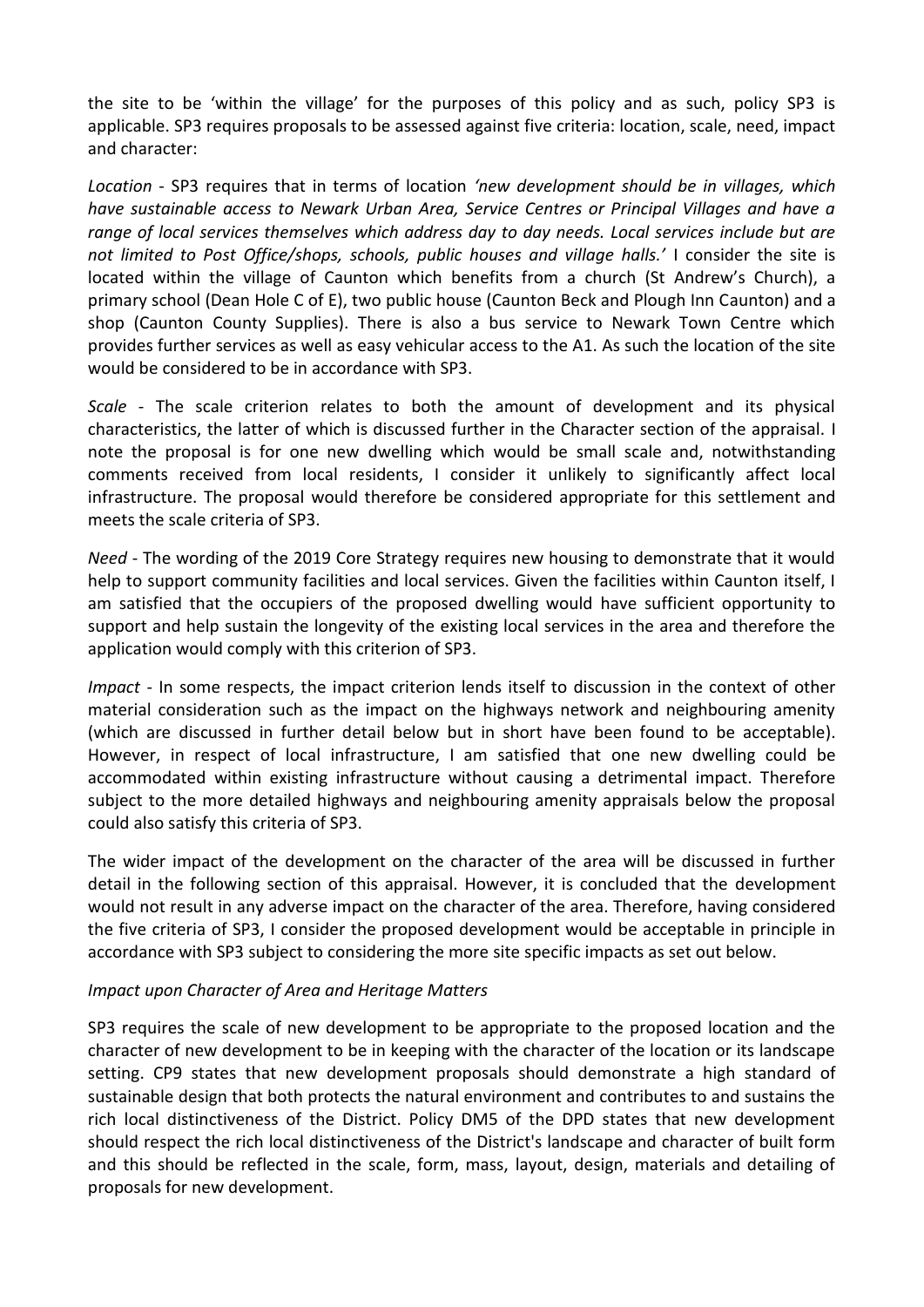the site to be 'within the village' for the purposes of this policy and as such, policy SP3 is applicable. SP3 requires proposals to be assessed against five criteria: location, scale, need, impact and character:

*Location* - SP3 requires that in terms of location *'new development should be in villages, which have sustainable access to Newark Urban Area, Service Centres or Principal Villages and have a range of local services themselves which address day to day needs. Local services include but are not limited to Post Office/shops, schools, public houses and village halls.'* I consider the site is located within the village of Caunton which benefits from a church (St Andrew's Church), a primary school (Dean Hole C of E), two public house (Caunton Beck and Plough Inn Caunton) and a shop (Caunton County Supplies). There is also a bus service to Newark Town Centre which provides further services as well as easy vehicular access to the A1. As such the location of the site would be considered to be in accordance with SP3.

*Scale* - The scale criterion relates to both the amount of development and its physical characteristics, the latter of which is discussed further in the Character section of the appraisal. I note the proposal is for one new dwelling which would be small scale and, notwithstanding comments received from local residents, I consider it unlikely to significantly affect local infrastructure. The proposal would therefore be considered appropriate for this settlement and meets the scale criteria of SP3.

*Need* - The wording of the 2019 Core Strategy requires new housing to demonstrate that it would help to support community facilities and local services. Given the facilities within Caunton itself, I am satisfied that the occupiers of the proposed dwelling would have sufficient opportunity to support and help sustain the longevity of the existing local services in the area and therefore the application would comply with this criterion of SP3.

*Impact* - In some respects, the impact criterion lends itself to discussion in the context of other material consideration such as the impact on the highways network and neighbouring amenity (which are discussed in further detail below but in short have been found to be acceptable). However, in respect of local infrastructure, I am satisfied that one new dwelling could be accommodated within existing infrastructure without causing a detrimental impact. Therefore subject to the more detailed highways and neighbouring amenity appraisals below the proposal could also satisfy this criteria of SP3.

The wider impact of the development on the character of the area will be discussed in further detail in the following section of this appraisal. However, it is concluded that the development would not result in any adverse impact on the character of the area. Therefore, having considered the five criteria of SP3, I consider the proposed development would be acceptable in principle in accordance with SP3 subject to considering the more site specific impacts as set out below.

## *Impact upon Character of Area and Heritage Matters*

SP3 requires the scale of new development to be appropriate to the proposed location and the character of new development to be in keeping with the character of the location or its landscape setting. CP9 states that new development proposals should demonstrate a high standard of sustainable design that both protects the natural environment and contributes to and sustains the rich local distinctiveness of the District. Policy DM5 of the DPD states that new development should respect the rich local distinctiveness of the District's landscape and character of built form and this should be reflected in the scale, form, mass, layout, design, materials and detailing of proposals for new development.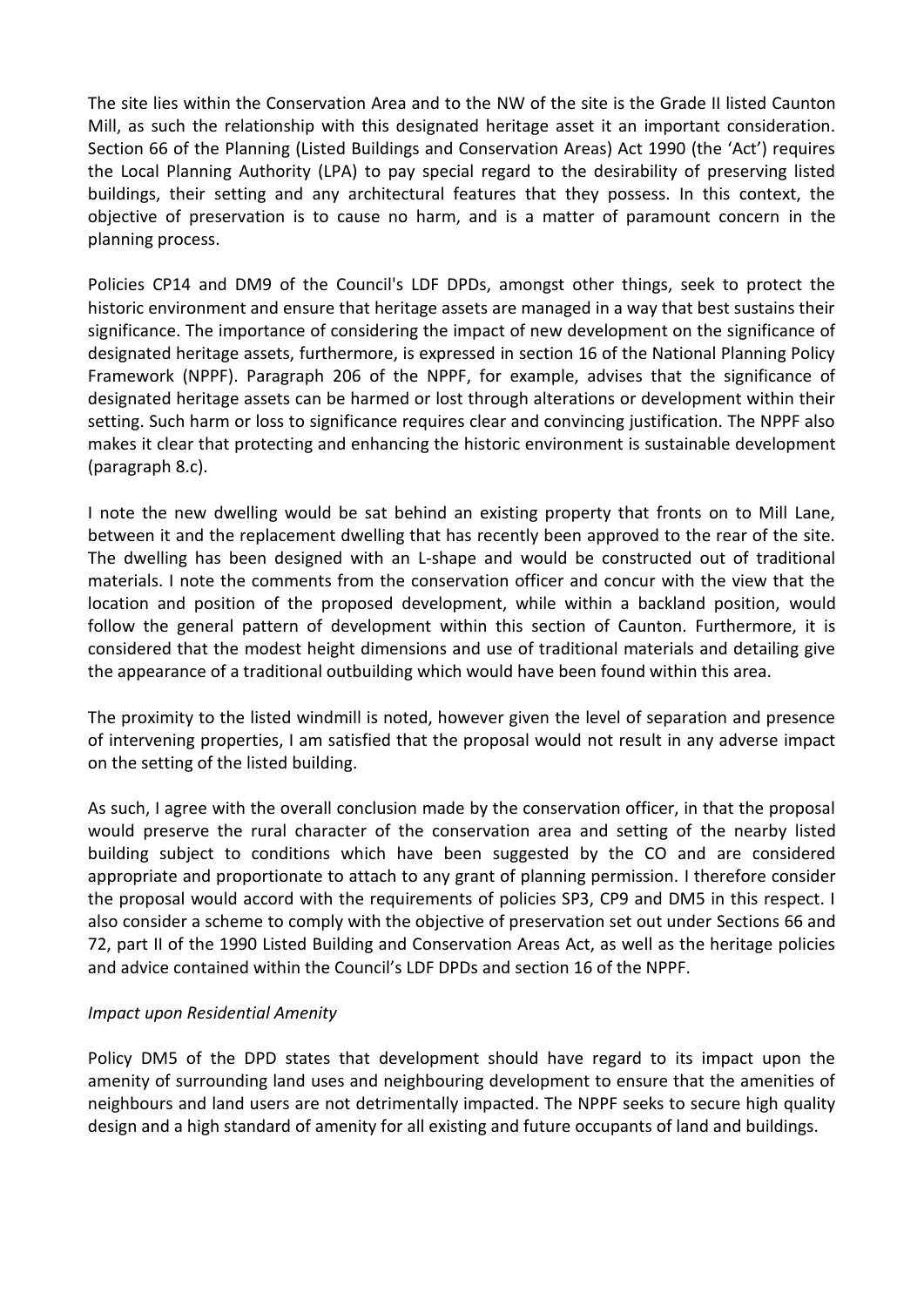The site lies within the Conservation Area and to the NW of the site is the Grade II listed Caunton Mill, as such the relationship with this designated heritage asset it an important consideration. Section 66 of the Planning (Listed Buildings and Conservation Areas) Act 1990 (the 'Act') requires the Local Planning Authority (LPA) to pay special regard to the desirability of preserving listed buildings, their setting and any architectural features that they possess. In this context, the objective of preservation is to cause no harm, and is a matter of paramount concern in the planning process.

Policies CP14 and DM9 of the Council's LDF DPDs, amongst other things, seek to protect the historic environment and ensure that heritage assets are managed in a way that best sustains their significance. The importance of considering the impact of new development on the significance of designated heritage assets, furthermore, is expressed in section 16 of the National Planning Policy Framework (NPPF). Paragraph 206 of the NPPF, for example, advises that the significance of designated heritage assets can be harmed or lost through alterations or development within their setting. Such harm or loss to significance requires clear and convincing justification. The NPPF also makes it clear that protecting and enhancing the historic environment is sustainable development (paragraph 8.c).

I note the new dwelling would be sat behind an existing property that fronts on to Mill Lane, between it and the replacement dwelling that has recently been approved to the rear of the site. The dwelling has been designed with an L-shape and would be constructed out of traditional materials. I note the comments from the conservation officer and concur with the view that the location and position of the proposed development, while within a backland position, would follow the general pattern of development within this section of Caunton. Furthermore, it is considered that the modest height dimensions and use of traditional materials and detailing give the appearance of a traditional outbuilding which would have been found within this area.

The proximity to the listed windmill is noted, however given the level of separation and presence of intervening properties, I am satisfied that the proposal would not result in any adverse impact on the setting of the listed building.

As such, I agree with the overall conclusion made by the conservation officer, in that the proposal would preserve the rural character of the conservation area and setting of the nearby listed building subject to conditions which have been suggested by the CO and are considered appropriate and proportionate to attach to any grant of planning permission. I therefore consider the proposal would accord with the requirements of policies SP3, CP9 and DM5 in this respect. I also consider a scheme to comply with the objective of preservation set out under Sections 66 and 72, part II of the 1990 Listed Building and Conservation Areas Act, as well as the heritage policies and advice contained within the Council's LDF DPDs and section 16 of the NPPF.

## *Impact upon Residential Amenity*

Policy DM5 of the DPD states that development should have regard to its impact upon the amenity of surrounding land uses and neighbouring development to ensure that the amenities of neighbours and land users are not detrimentally impacted. The NPPF seeks to secure high quality design and a high standard of amenity for all existing and future occupants of land and buildings.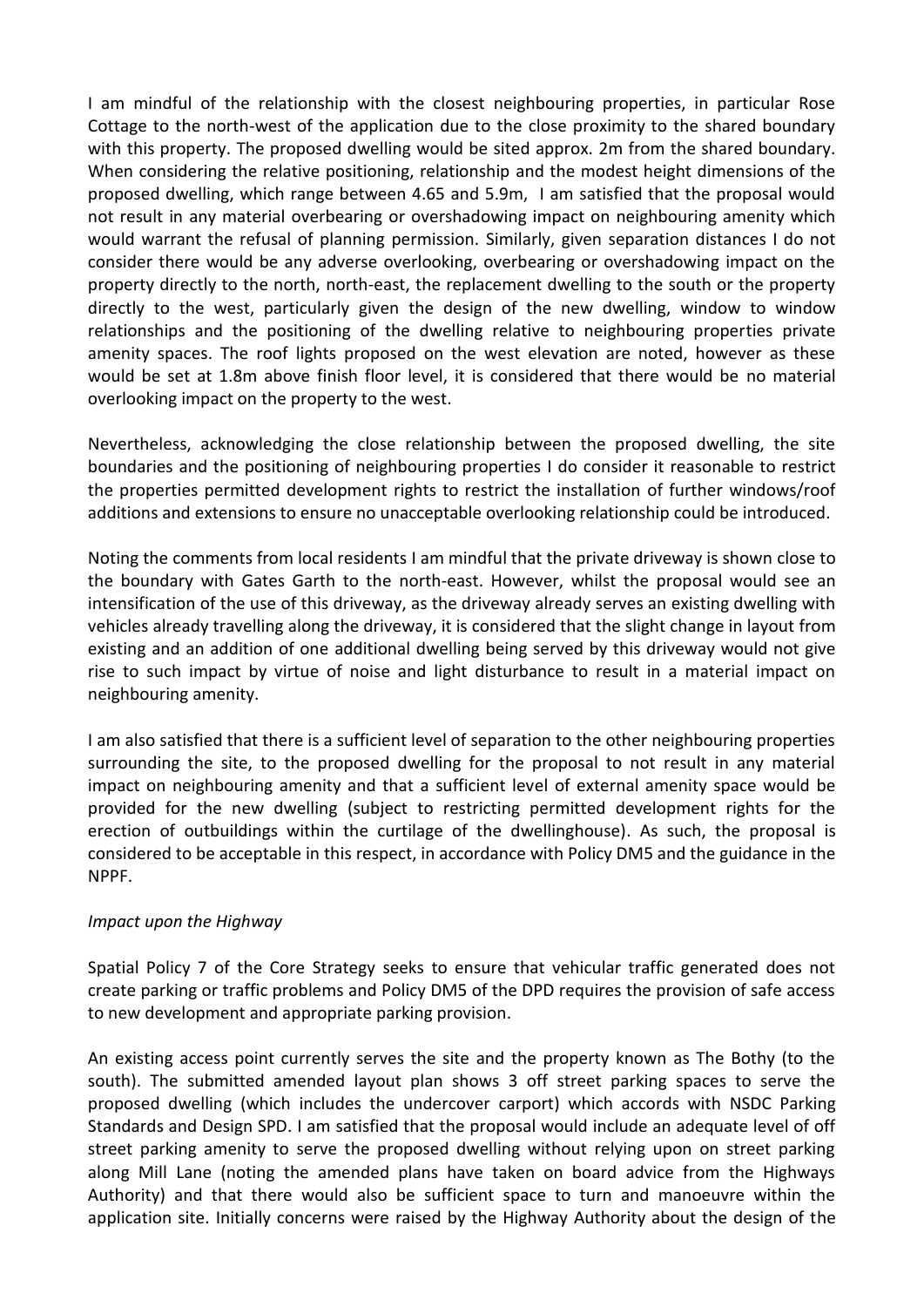I am mindful of the relationship with the closest neighbouring properties, in particular Rose Cottage to the north-west of the application due to the close proximity to the shared boundary with this property. The proposed dwelling would be sited approx. 2m from the shared boundary. When considering the relative positioning, relationship and the modest height dimensions of the proposed dwelling, which range between 4.65 and 5.9m, I am satisfied that the proposal would not result in any material overbearing or overshadowing impact on neighbouring amenity which would warrant the refusal of planning permission. Similarly, given separation distances I do not consider there would be any adverse overlooking, overbearing or overshadowing impact on the property directly to the north, north-east, the replacement dwelling to the south or the property directly to the west, particularly given the design of the new dwelling, window to window relationships and the positioning of the dwelling relative to neighbouring properties private amenity spaces. The roof lights proposed on the west elevation are noted, however as these would be set at 1.8m above finish floor level, it is considered that there would be no material overlooking impact on the property to the west.

Nevertheless, acknowledging the close relationship between the proposed dwelling, the site boundaries and the positioning of neighbouring properties I do consider it reasonable to restrict the properties permitted development rights to restrict the installation of further windows/roof additions and extensions to ensure no unacceptable overlooking relationship could be introduced.

Noting the comments from local residents I am mindful that the private driveway is shown close to the boundary with Gates Garth to the north-east. However, whilst the proposal would see an intensification of the use of this driveway, as the driveway already serves an existing dwelling with vehicles already travelling along the driveway, it is considered that the slight change in layout from existing and an addition of one additional dwelling being served by this driveway would not give rise to such impact by virtue of noise and light disturbance to result in a material impact on neighbouring amenity.

I am also satisfied that there is a sufficient level of separation to the other neighbouring properties surrounding the site, to the proposed dwelling for the proposal to not result in any material impact on neighbouring amenity and that a sufficient level of external amenity space would be provided for the new dwelling (subject to restricting permitted development rights for the erection of outbuildings within the curtilage of the dwellinghouse). As such, the proposal is considered to be acceptable in this respect, in accordance with Policy DM5 and the guidance in the NPPF.

## *Impact upon the Highway*

Spatial Policy 7 of the Core Strategy seeks to ensure that vehicular traffic generated does not create parking or traffic problems and Policy DM5 of the DPD requires the provision of safe access to new development and appropriate parking provision.

An existing access point currently serves the site and the property known as The Bothy (to the south). The submitted amended layout plan shows 3 off street parking spaces to serve the proposed dwelling (which includes the undercover carport) which accords with NSDC Parking Standards and Design SPD. I am satisfied that the proposal would include an adequate level of off street parking amenity to serve the proposed dwelling without relying upon on street parking along Mill Lane (noting the amended plans have taken on board advice from the Highways Authority) and that there would also be sufficient space to turn and manoeuvre within the application site. Initially concerns were raised by the Highway Authority about the design of the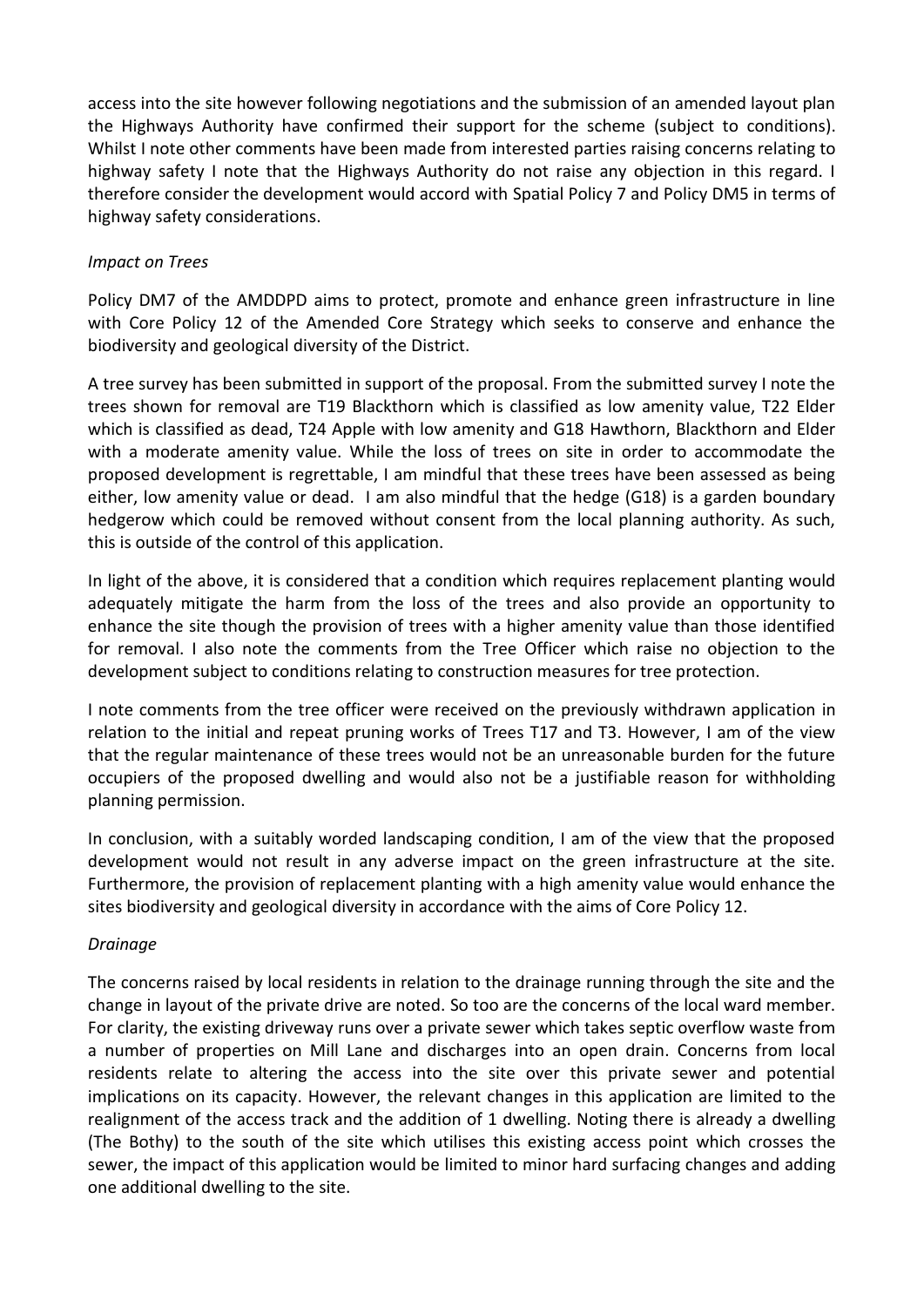access into the site however following negotiations and the submission of an amended layout plan the Highways Authority have confirmed their support for the scheme (subject to conditions). Whilst I note other comments have been made from interested parties raising concerns relating to highway safety I note that the Highways Authority do not raise any objection in this regard. I therefore consider the development would accord with Spatial Policy 7 and Policy DM5 in terms of highway safety considerations.

## *Impact on Trees*

Policy DM7 of the AMDDPD aims to protect, promote and enhance green infrastructure in line with Core Policy 12 of the Amended Core Strategy which seeks to conserve and enhance the biodiversity and geological diversity of the District.

A tree survey has been submitted in support of the proposal. From the submitted survey I note the trees shown for removal are T19 Blackthorn which is classified as low amenity value, T22 Elder which is classified as dead, T24 Apple with low amenity and G18 Hawthorn, Blackthorn and Elder with a moderate amenity value. While the loss of trees on site in order to accommodate the proposed development is regrettable, I am mindful that these trees have been assessed as being either, low amenity value or dead. I am also mindful that the hedge (G18) is a garden boundary hedgerow which could be removed without consent from the local planning authority. As such, this is outside of the control of this application.

In light of the above, it is considered that a condition which requires replacement planting would adequately mitigate the harm from the loss of the trees and also provide an opportunity to enhance the site though the provision of trees with a higher amenity value than those identified for removal. I also note the comments from the Tree Officer which raise no objection to the development subject to conditions relating to construction measures for tree protection.

I note comments from the tree officer were received on the previously withdrawn application in relation to the initial and repeat pruning works of Trees T17 and T3. However, I am of the view that the regular maintenance of these trees would not be an unreasonable burden for the future occupiers of the proposed dwelling and would also not be a justifiable reason for withholding planning permission.

In conclusion, with a suitably worded landscaping condition, I am of the view that the proposed development would not result in any adverse impact on the green infrastructure at the site. Furthermore, the provision of replacement planting with a high amenity value would enhance the sites biodiversity and geological diversity in accordance with the aims of Core Policy 12.

## *Drainage*

The concerns raised by local residents in relation to the drainage running through the site and the change in layout of the private drive are noted. So too are the concerns of the local ward member. For clarity, the existing driveway runs over a private sewer which takes septic overflow waste from a number of properties on Mill Lane and discharges into an open drain. Concerns from local residents relate to altering the access into the site over this private sewer and potential implications on its capacity. However, the relevant changes in this application are limited to the realignment of the access track and the addition of 1 dwelling. Noting there is already a dwelling (The Bothy) to the south of the site which utilises this existing access point which crosses the sewer, the impact of this application would be limited to minor hard surfacing changes and adding one additional dwelling to the site.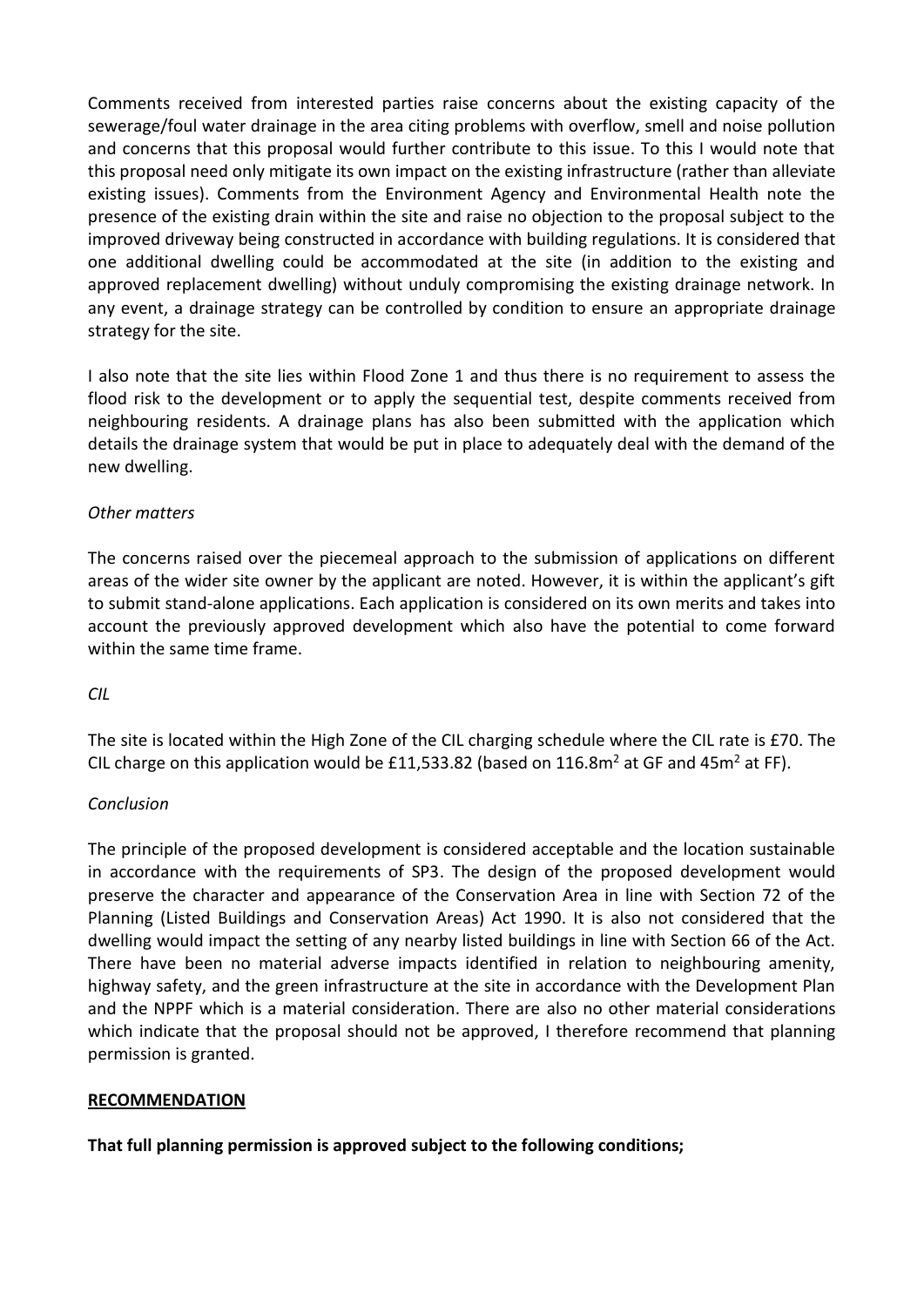Comments received from interested parties raise concerns about the existing capacity of the sewerage/foul water drainage in the area citing problems with overflow, smell and noise pollution and concerns that this proposal would further contribute to this issue. To this I would note that this proposal need only mitigate its own impact on the existing infrastructure (rather than alleviate existing issues). Comments from the Environment Agency and Environmental Health note the presence of the existing drain within the site and raise no objection to the proposal subject to the improved driveway being constructed in accordance with building regulations. It is considered that one additional dwelling could be accommodated at the site (in addition to the existing and approved replacement dwelling) without unduly compromising the existing drainage network. In any event, a drainage strategy can be controlled by condition to ensure an appropriate drainage strategy for the site.

I also note that the site lies within Flood Zone 1 and thus there is no requirement to assess the flood risk to the development or to apply the sequential test, despite comments received from neighbouring residents. A drainage plans has also been submitted with the application which details the drainage system that would be put in place to adequately deal with the demand of the new dwelling.

## *Other matters*

The concerns raised over the piecemeal approach to the submission of applications on different areas of the wider site owner by the applicant are noted. However, it is within the applicant's gift to submit stand-alone applications. Each application is considered on its own merits and takes into account the previously approved development which also have the potential to come forward within the same time frame.

## *CIL*

The site is located within the High Zone of the CIL charging schedule where the CIL rate is £70. The CIL charge on this application would be £11,533.82 (based on 116.8m<sup>2</sup> at GF and 45m<sup>2</sup> at FF).

## *Conclusion*

The principle of the proposed development is considered acceptable and the location sustainable in accordance with the requirements of SP3. The design of the proposed development would preserve the character and appearance of the Conservation Area in line with Section 72 of the Planning (Listed Buildings and Conservation Areas) Act 1990. It is also not considered that the dwelling would impact the setting of any nearby listed buildings in line with Section 66 of the Act. There have been no material adverse impacts identified in relation to neighbouring amenity, highway safety, and the green infrastructure at the site in accordance with the Development Plan and the NPPF which is a material consideration. There are also no other material considerations which indicate that the proposal should not be approved, I therefore recommend that planning permission is granted.

## **RECOMMENDATION**

**That full planning permission is approved subject to the following conditions;**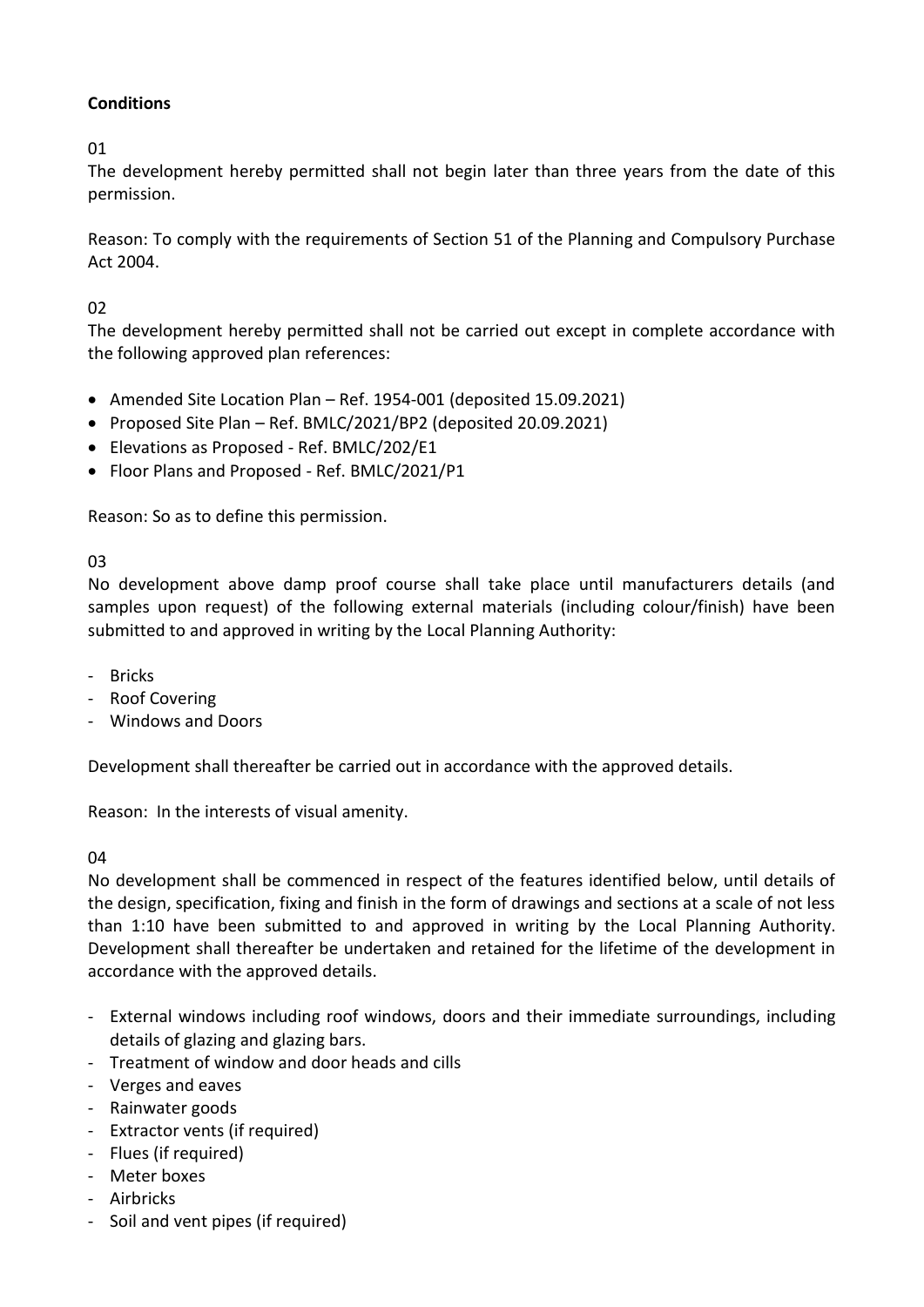# **Conditions**

01

The development hereby permitted shall not begin later than three years from the date of this permission.

Reason: To comply with the requirements of Section 51 of the Planning and Compulsory Purchase Act 2004.

# 02

The development hereby permitted shall not be carried out except in complete accordance with the following approved plan references:

- Amended Site Location Plan Ref. 1954-001 (deposited 15.09.2021)
- Proposed Site Plan Ref. BMLC/2021/BP2 (deposited 20.09.2021)
- Elevations as Proposed Ref. BMLC/202/E1
- Floor Plans and Proposed Ref. BMLC/2021/P1

Reason: So as to define this permission.

03

No development above damp proof course shall take place until manufacturers details (and samples upon request) of the following external materials (including colour/finish) have been submitted to and approved in writing by the Local Planning Authority:

- Bricks
- Roof Covering
- Windows and Doors

Development shall thereafter be carried out in accordance with the approved details.

Reason: In the interests of visual amenity.

04

No development shall be commenced in respect of the features identified below, until details of the design, specification, fixing and finish in the form of drawings and sections at a scale of not less than 1:10 have been submitted to and approved in writing by the Local Planning Authority. Development shall thereafter be undertaken and retained for the lifetime of the development in accordance with the approved details.

- External windows including roof windows, doors and their immediate surroundings, including details of glazing and glazing bars.
- Treatment of window and door heads and cills
- Verges and eaves
- Rainwater goods
- Extractor vents (if required)
- Flues (if required)
- Meter boxes
- Airbricks
- Soil and vent pipes (if required)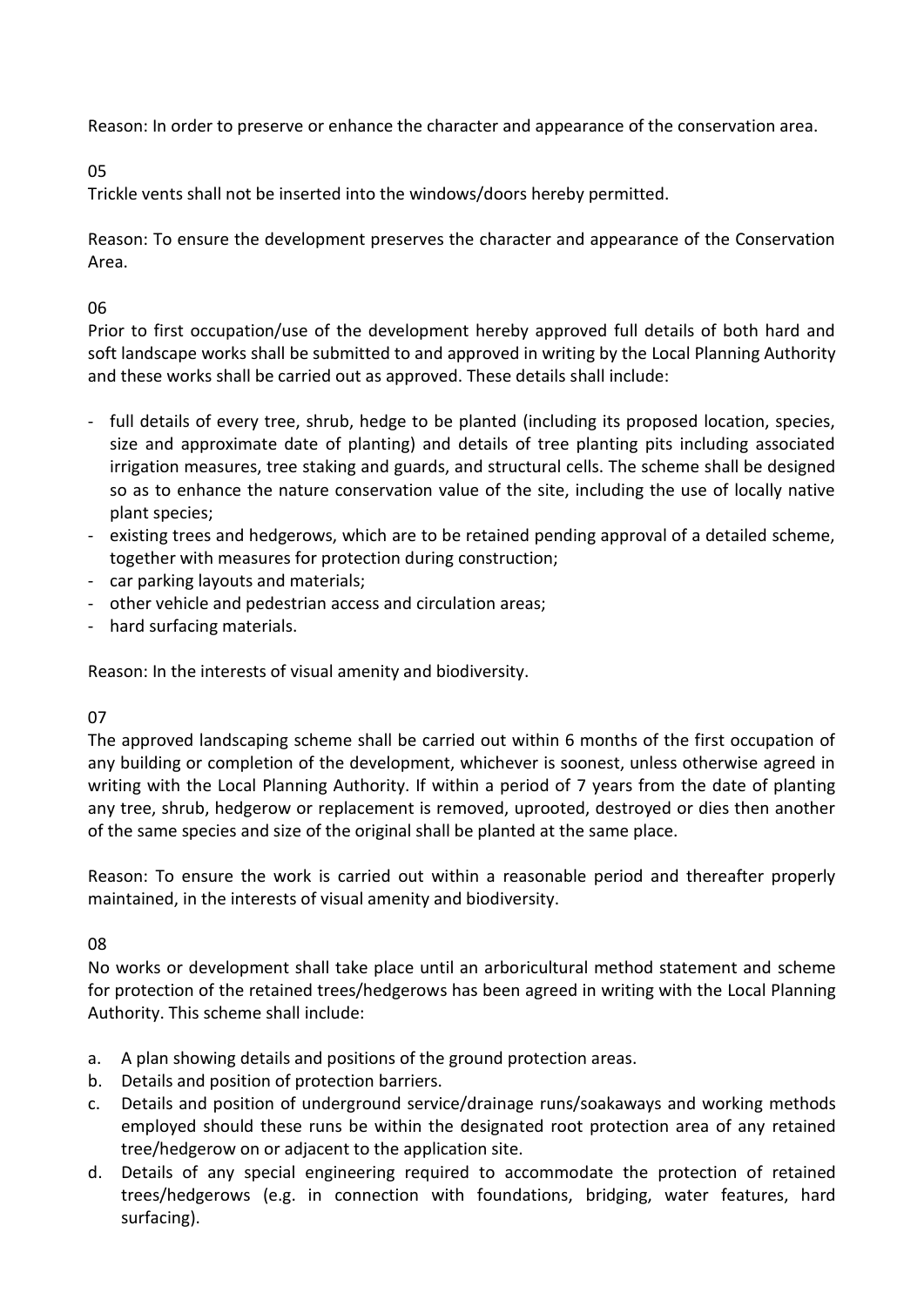Reason: In order to preserve or enhance the character and appearance of the conservation area.

05

Trickle vents shall not be inserted into the windows/doors hereby permitted.

Reason: To ensure the development preserves the character and appearance of the Conservation Area.

# 06

Prior to first occupation/use of the development hereby approved full details of both hard and soft landscape works shall be submitted to and approved in writing by the Local Planning Authority and these works shall be carried out as approved. These details shall include:

- full details of every tree, shrub, hedge to be planted (including its proposed location, species, size and approximate date of planting) and details of tree planting pits including associated irrigation measures, tree staking and guards, and structural cells. The scheme shall be designed so as to enhance the nature conservation value of the site, including the use of locally native plant species;
- existing trees and hedgerows, which are to be retained pending approval of a detailed scheme, together with measures for protection during construction;
- car parking layouts and materials;
- other vehicle and pedestrian access and circulation areas;
- hard surfacing materials.

Reason: In the interests of visual amenity and biodiversity.

# 07

The approved landscaping scheme shall be carried out within 6 months of the first occupation of any building or completion of the development, whichever is soonest, unless otherwise agreed in writing with the Local Planning Authority. If within a period of 7 years from the date of planting any tree, shrub, hedgerow or replacement is removed, uprooted, destroyed or dies then another of the same species and size of the original shall be planted at the same place.

Reason: To ensure the work is carried out within a reasonable period and thereafter properly maintained, in the interests of visual amenity and biodiversity.

# 08

No works or development shall take place until an arboricultural method statement and scheme for protection of the retained trees/hedgerows has been agreed in writing with the Local Planning Authority. This scheme shall include:

- a. A plan showing details and positions of the ground protection areas.
- b. Details and position of protection barriers.
- c. Details and position of underground service/drainage runs/soakaways and working methods employed should these runs be within the designated root protection area of any retained tree/hedgerow on or adjacent to the application site.
- d. Details of any special engineering required to accommodate the protection of retained trees/hedgerows (e.g. in connection with foundations, bridging, water features, hard surfacing).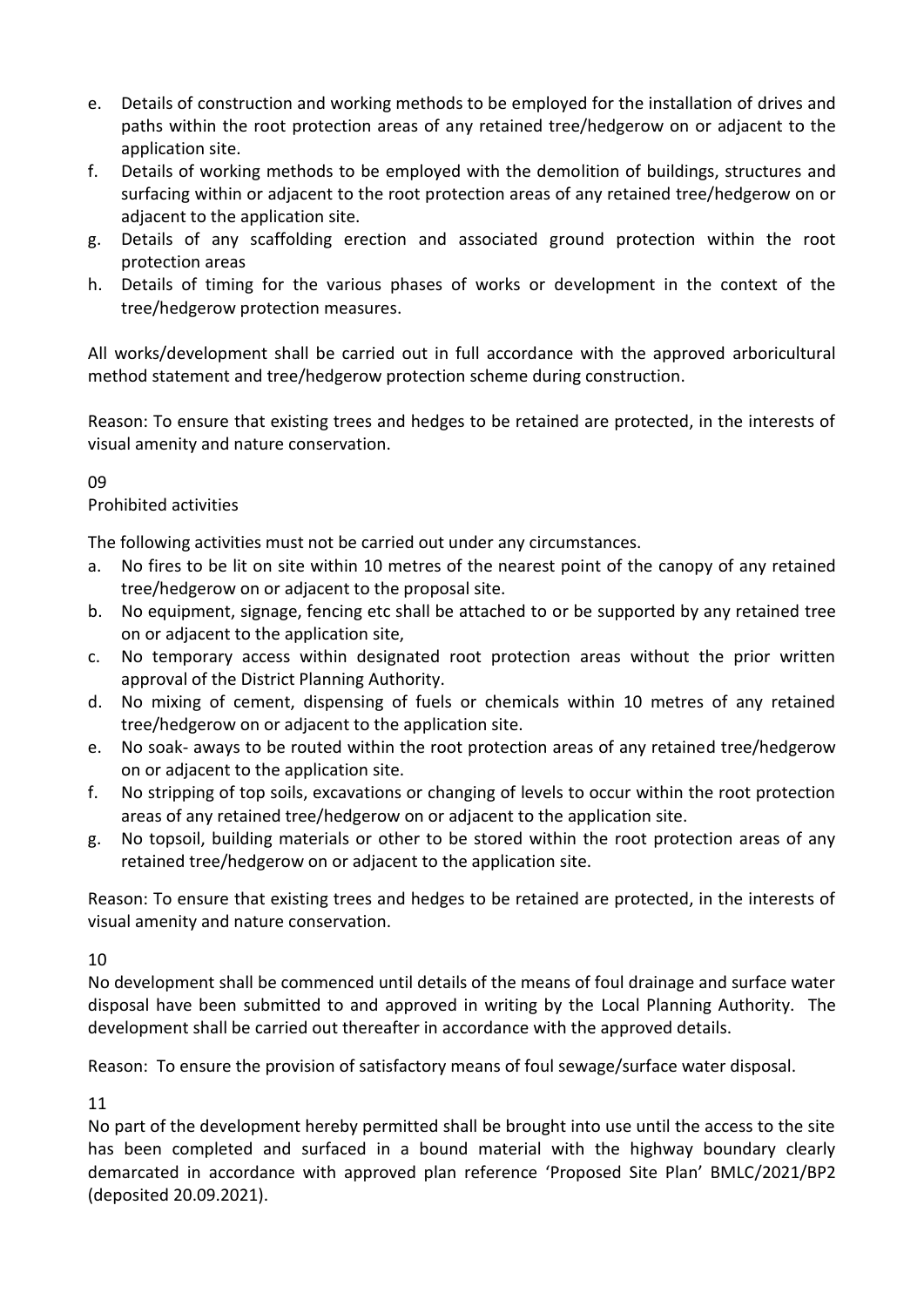- e. Details of construction and working methods to be employed for the installation of drives and paths within the root protection areas of any retained tree/hedgerow on or adjacent to the application site.
- f. Details of working methods to be employed with the demolition of buildings, structures and surfacing within or adjacent to the root protection areas of any retained tree/hedgerow on or adiacent to the application site.
- g. Details of any scaffolding erection and associated ground protection within the root protection areas
- h. Details of timing for the various phases of works or development in the context of the tree/hedgerow protection measures.

All works/development shall be carried out in full accordance with the approved arboricultural method statement and tree/hedgerow protection scheme during construction.

Reason: To ensure that existing trees and hedges to be retained are protected, in the interests of visual amenity and nature conservation.

09

# Prohibited activities

The following activities must not be carried out under any circumstances.

- a. No fires to be lit on site within 10 metres of the nearest point of the canopy of any retained tree/hedgerow on or adjacent to the proposal site.
- b. No equipment, signage, fencing etc shall be attached to or be supported by any retained tree on or adjacent to the application site,
- c. No temporary access within designated root protection areas without the prior written approval of the District Planning Authority.
- d. No mixing of cement, dispensing of fuels or chemicals within 10 metres of any retained tree/hedgerow on or adjacent to the application site.
- e. No soak- aways to be routed within the root protection areas of any retained tree/hedgerow on or adjacent to the application site.
- f. No stripping of top soils, excavations or changing of levels to occur within the root protection areas of any retained tree/hedgerow on or adjacent to the application site.
- g. No topsoil, building materials or other to be stored within the root protection areas of any retained tree/hedgerow on or adjacent to the application site.

Reason: To ensure that existing trees and hedges to be retained are protected, in the interests of visual amenity and nature conservation.

10

No development shall be commenced until details of the means of foul drainage and surface water disposal have been submitted to and approved in writing by the Local Planning Authority. The development shall be carried out thereafter in accordance with the approved details.

Reason: To ensure the provision of satisfactory means of foul sewage/surface water disposal.

11

No part of the development hereby permitted shall be brought into use until the access to the site has been completed and surfaced in a bound material with the highway boundary clearly demarcated in accordance with approved plan reference 'Proposed Site Plan' BMLC/2021/BP2 (deposited 20.09.2021).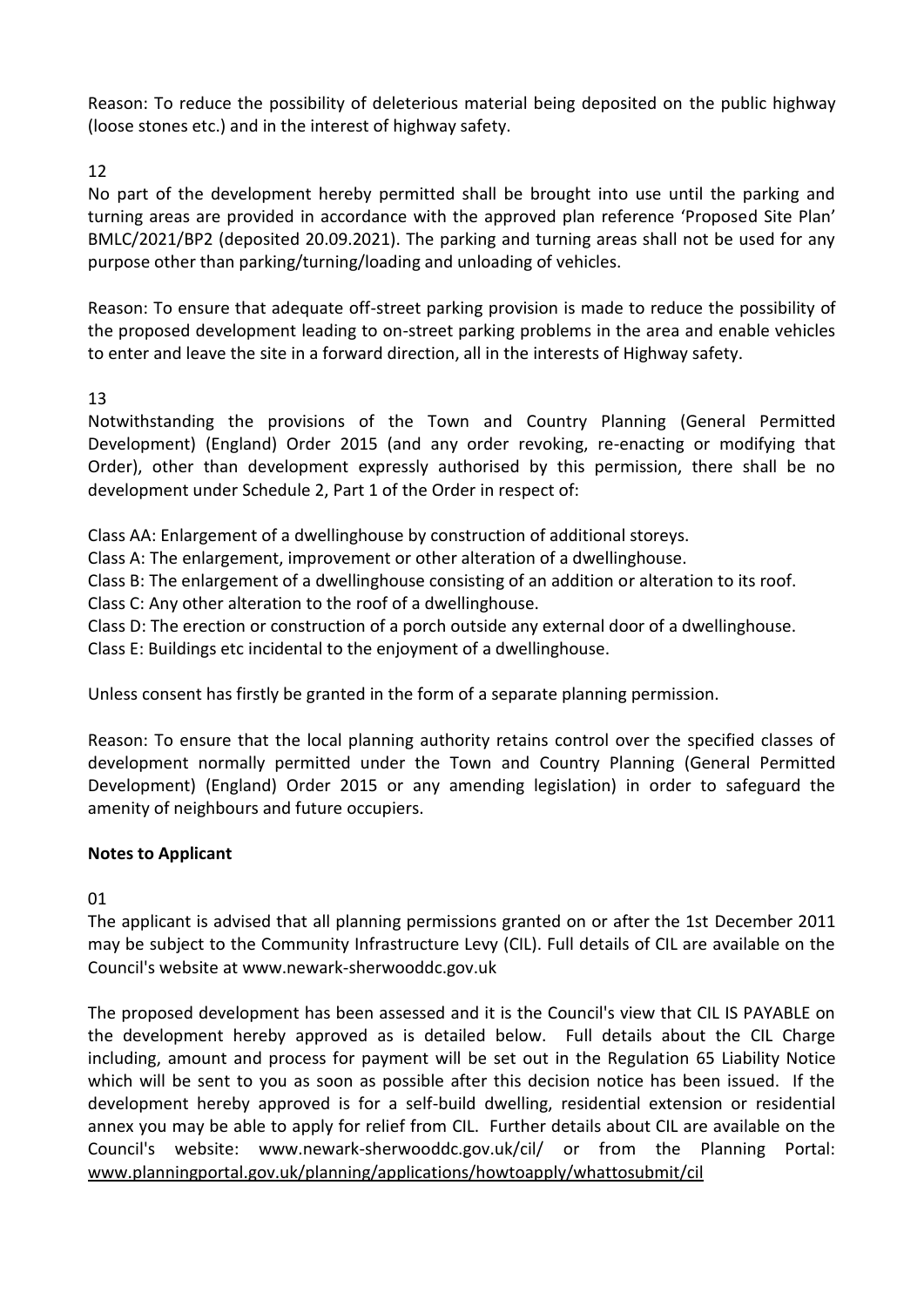Reason: To reduce the possibility of deleterious material being deposited on the public highway (loose stones etc.) and in the interest of highway safety.

# 12

No part of the development hereby permitted shall be brought into use until the parking and turning areas are provided in accordance with the approved plan reference 'Proposed Site Plan' BMLC/2021/BP2 (deposited 20.09.2021). The parking and turning areas shall not be used for any purpose other than parking/turning/loading and unloading of vehicles.

Reason: To ensure that adequate off-street parking provision is made to reduce the possibility of the proposed development leading to on-street parking problems in the area and enable vehicles to enter and leave the site in a forward direction, all in the interests of Highway safety.

# 13

Notwithstanding the provisions of the Town and Country Planning (General Permitted Development) (England) Order 2015 (and any order revoking, re-enacting or modifying that Order), other than development expressly authorised by this permission, there shall be no development under Schedule 2, Part 1 of the Order in respect of:

Class AA: Enlargement of a dwellinghouse by construction of additional storeys.

Class A: The enlargement, improvement or other alteration of a dwellinghouse.

Class B: The enlargement of a dwellinghouse consisting of an addition or alteration to its roof.

Class C: Any other alteration to the roof of a dwellinghouse.

Class D: The erection or construction of a porch outside any external door of a dwellinghouse.

Class E: Buildings etc incidental to the enjoyment of a dwellinghouse.

Unless consent has firstly be granted in the form of a separate planning permission.

Reason: To ensure that the local planning authority retains control over the specified classes of development normally permitted under the Town and Country Planning (General Permitted Development) (England) Order 2015 or any amending legislation) in order to safeguard the amenity of neighbours and future occupiers.

# **Notes to Applicant**

01

The applicant is advised that all planning permissions granted on or after the 1st December 2011 may be subject to the Community Infrastructure Levy (CIL). Full details of CIL are available on the Council's website at www.newark-sherwooddc.gov.uk

The proposed development has been assessed and it is the Council's view that CIL IS PAYABLE on the development hereby approved as is detailed below. Full details about the CIL Charge including, amount and process for payment will be set out in the Regulation 65 Liability Notice which will be sent to you as soon as possible after this decision notice has been issued. If the development hereby approved is for a self-build dwelling, residential extension or residential annex you may be able to apply for relief from CIL. Further details about CIL are available on the Council's website: www.newark-sherwooddc.gov.uk/cil/ or from the Planning Portal: [www.planningportal.gov.uk/planning/applications/howtoapply/whattosubmit/cil](http://www.planningportal.gov.uk/planning/applications/howtoapply/whattosubmit/cil)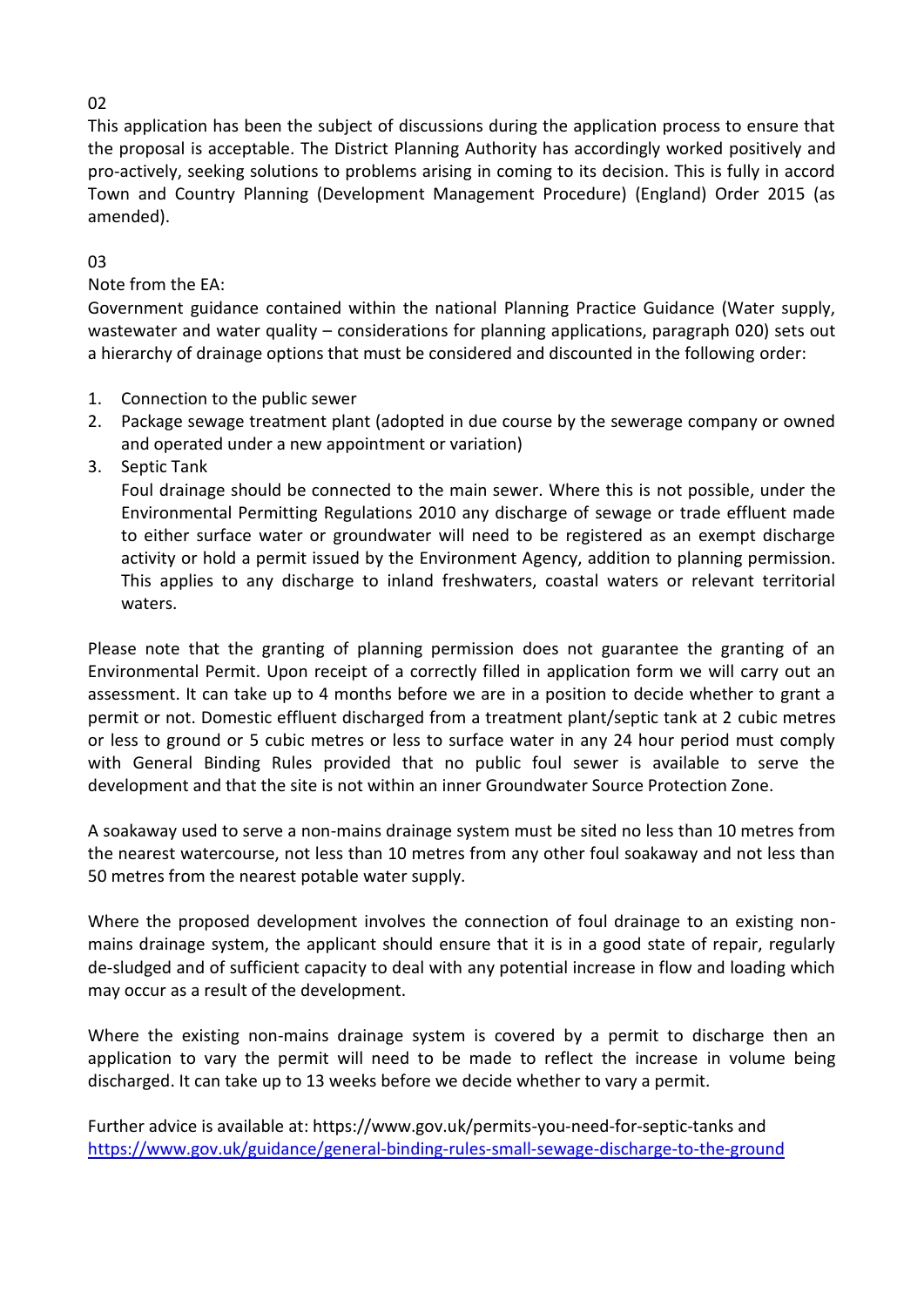# 02

This application has been the subject of discussions during the application process to ensure that the proposal is acceptable. The District Planning Authority has accordingly worked positively and pro-actively, seeking solutions to problems arising in coming to its decision. This is fully in accord Town and Country Planning (Development Management Procedure) (England) Order 2015 (as amended).

# 03

Note from the EA:

Government guidance contained within the national Planning Practice Guidance (Water supply, wastewater and water quality – considerations for planning applications, paragraph 020) sets out a hierarchy of drainage options that must be considered and discounted in the following order:

- 1. Connection to the public sewer
- 2. Package sewage treatment plant (adopted in due course by the sewerage company or owned and operated under a new appointment or variation)
- 3. Septic Tank

Foul drainage should be connected to the main sewer. Where this is not possible, under the Environmental Permitting Regulations 2010 any discharge of sewage or trade effluent made to either surface water or groundwater will need to be registered as an exempt discharge activity or hold a permit issued by the Environment Agency, addition to planning permission. This applies to any discharge to inland freshwaters, coastal waters or relevant territorial waters.

Please note that the granting of planning permission does not guarantee the granting of an Environmental Permit. Upon receipt of a correctly filled in application form we will carry out an assessment. It can take up to 4 months before we are in a position to decide whether to grant a permit or not. Domestic effluent discharged from a treatment plant/septic tank at 2 cubic metres or less to ground or 5 cubic metres or less to surface water in any 24 hour period must comply with General Binding Rules provided that no public foul sewer is available to serve the development and that the site is not within an inner Groundwater Source Protection Zone.

A soakaway used to serve a non-mains drainage system must be sited no less than 10 metres from the nearest watercourse, not less than 10 metres from any other foul soakaway and not less than 50 metres from the nearest potable water supply.

Where the proposed development involves the connection of foul drainage to an existing nonmains drainage system, the applicant should ensure that it is in a good state of repair, regularly de-sludged and of sufficient capacity to deal with any potential increase in flow and loading which may occur as a result of the development.

Where the existing non-mains drainage system is covered by a permit to discharge then an application to vary the permit will need to be made to reflect the increase in volume being discharged. It can take up to 13 weeks before we decide whether to vary a permit.

Further advice is available at: https://www.gov.uk/permits-you-need-for-septic-tanks and <https://www.gov.uk/guidance/general-binding-rules-small-sewage-discharge-to-the-ground>